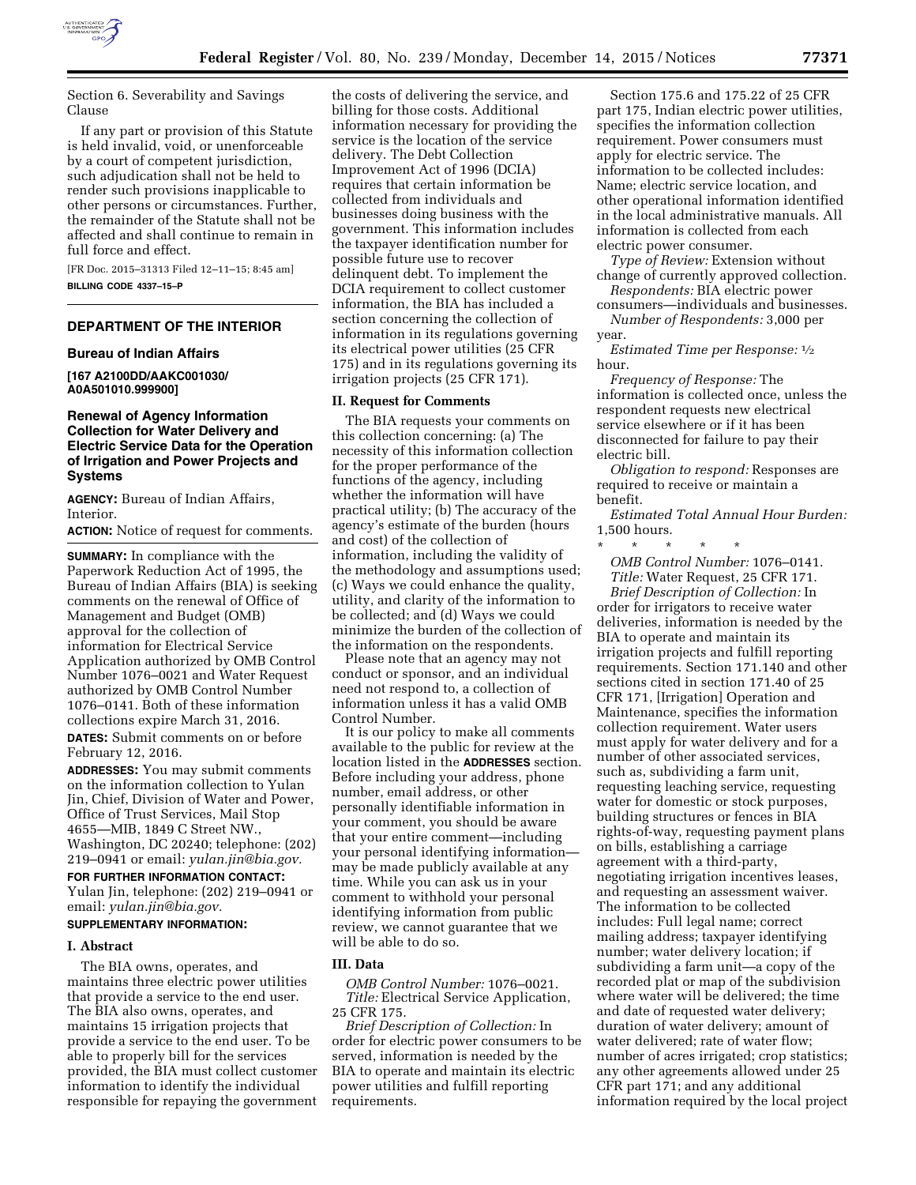

Section 6. Severability and Savings Clause

If any part or provision of this Statute is held invalid, void, or unenforceable by a court of competent jurisdiction, such adjudication shall not be held to render such provisions inapplicable to other persons or circumstances. Further, the remainder of the Statute shall not be affected and shall continue to remain in full force and effect.

[FR Doc. 2015–31313 Filed 12–11–15; 8:45 am] **BILLING CODE 4337–15–P** 

## **DEPARTMENT OF THE INTERIOR**

### **Bureau of Indian Affairs**

**[167 A2100DD/AAKC001030/ A0A501010.999900]** 

## **Renewal of Agency Information Collection for Water Delivery and Electric Service Data for the Operation of Irrigation and Power Projects and Systems**

**AGENCY:** Bureau of Indian Affairs, Interior.

**ACTION:** Notice of request for comments.

**SUMMARY:** In compliance with the Paperwork Reduction Act of 1995, the Bureau of Indian Affairs (BIA) is seeking comments on the renewal of Office of Management and Budget (OMB) approval for the collection of information for Electrical Service Application authorized by OMB Control Number 1076–0021 and Water Request authorized by OMB Control Number 1076–0141. Both of these information collections expire March 31, 2016. **DATES:** Submit comments on or before February 12, 2016.

**ADDRESSES:** You may submit comments on the information collection to Yulan Jin, Chief, Division of Water and Power, Office of Trust Services, Mail Stop 4655—MIB, 1849 C Street NW., Washington, DC 20240; telephone: (202) 219–0941 or email: *[yulan.jin@bia.gov.](mailto:yulan.jin@bia.gov)* 

**FOR FURTHER INFORMATION CONTACT:**  Yulan Jin, telephone: (202) 219–0941 or email: *[yulan.jin@bia.gov.](mailto:yulan.jin@bia.gov)*  **SUPPLEMENTARY INFORMATION:** 

# **I. Abstract**

The BIA owns, operates, and maintains three electric power utilities that provide a service to the end user. The BIA also owns, operates, and maintains 15 irrigation projects that provide a service to the end user. To be able to properly bill for the services provided, the BIA must collect customer information to identify the individual responsible for repaying the government

the costs of delivering the service, and billing for those costs. Additional information necessary for providing the service is the location of the service delivery. The Debt Collection Improvement Act of 1996 (DCIA) requires that certain information be collected from individuals and businesses doing business with the government. This information includes the taxpayer identification number for possible future use to recover delinquent debt. To implement the DCIA requirement to collect customer information, the BIA has included a section concerning the collection of information in its regulations governing its electrical power utilities (25 CFR 175) and in its regulations governing its irrigation projects (25 CFR 171).

## **II. Request for Comments**

The BIA requests your comments on this collection concerning: (a) The necessity of this information collection for the proper performance of the functions of the agency, including whether the information will have practical utility; (b) The accuracy of the agency's estimate of the burden (hours and cost) of the collection of information, including the validity of the methodology and assumptions used; (c) Ways we could enhance the quality, utility, and clarity of the information to be collected; and (d) Ways we could minimize the burden of the collection of the information on the respondents.

Please note that an agency may not conduct or sponsor, and an individual need not respond to, a collection of information unless it has a valid OMB Control Number.

It is our policy to make all comments available to the public for review at the location listed in the **ADDRESSES** section. Before including your address, phone number, email address, or other personally identifiable information in your comment, you should be aware that your entire comment—including your personal identifying information may be made publicly available at any time. While you can ask us in your comment to withhold your personal identifying information from public review, we cannot guarantee that we will be able to do so.

## **III. Data**

*OMB Control Number:* 1076–0021. *Title:* Electrical Service Application, 25 CFR 175.

*Brief Description of Collection:* In order for electric power consumers to be served, information is needed by the BIA to operate and maintain its electric power utilities and fulfill reporting requirements.

Section 175.6 and 175.22 of 25 CFR part 175, Indian electric power utilities, specifies the information collection requirement. Power consumers must apply for electric service. The information to be collected includes: Name; electric service location, and other operational information identified in the local administrative manuals. All information is collected from each electric power consumer.

*Type of Review:* Extension without change of currently approved collection.

*Respondents:* BIA electric power consumers—individuals and businesses. *Number of Respondents:* 3,000 per

year.

*Estimated Time per Response:* 1⁄2 hour.

*Frequency of Response:* The information is collected once, unless the respondent requests new electrical service elsewhere or if it has been disconnected for failure to pay their electric bill.

*Obligation to respond:* Responses are required to receive or maintain a benefit.

*Estimated Total Annual Hour Burden:*  1,500 hours.

\* \* \* \* \* *OMB Control Number:* 1076–0141. *Title:* Water Request, 25 CFR 171.

*Brief Description of Collection:* In order for irrigators to receive water deliveries, information is needed by the BIA to operate and maintain its irrigation projects and fulfill reporting requirements. Section 171.140 and other sections cited in section 171.40 of 25 CFR 171, [Irrigation] Operation and Maintenance, specifies the information collection requirement. Water users must apply for water delivery and for a number of other associated services, such as, subdividing a farm unit, requesting leaching service, requesting water for domestic or stock purposes, building structures or fences in BIA rights-of-way, requesting payment plans on bills, establishing a carriage agreement with a third-party, negotiating irrigation incentives leases, and requesting an assessment waiver. The information to be collected includes: Full legal name; correct mailing address; taxpayer identifying number; water delivery location; if subdividing a farm unit—a copy of the recorded plat or map of the subdivision where water will be delivered; the time and date of requested water delivery; duration of water delivery; amount of water delivered; rate of water flow; number of acres irrigated; crop statistics; any other agreements allowed under 25 CFR part 171; and any additional information required by the local project